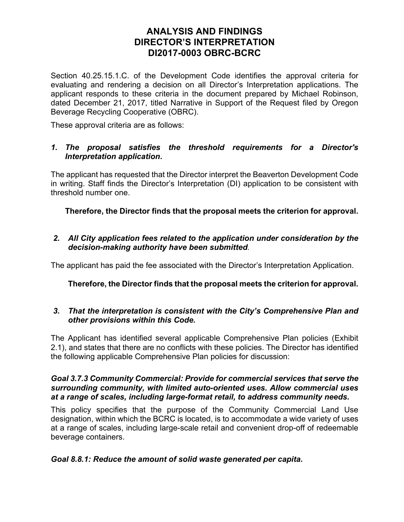## **ANALYSIS AND FINDINGS DIRECTOR'S INTERPRETATION DI2017-0003 OBRC-BCRC**

Section 40.25.15.1.C. of the Development Code identifies the approval criteria for evaluating and rendering a decision on all Director's Interpretation applications. The applicant responds to these criteria in the document prepared by Michael Robinson, dated December 21, 2017, titled Narrative in Support of the Request filed by Oregon Beverage Recycling Cooperative (OBRC).

These approval criteria are as follows:

## *1. The proposal satisfies the threshold requirements for a Director's Interpretation application***.**

The applicant has requested that the Director interpret the Beaverton Development Code in writing. Staff finds the Director's Interpretation (DI) application to be consistent with threshold number one.

**Therefore, the Director finds that the proposal meets the criterion for approval.**

*2. All City application fees related to the application under consideration by the decision-making authority have been submitted.* 

The applicant has paid the fee associated with the Director's Interpretation Application.

## **Therefore, the Director finds that the proposal meets the criterion for approval.**

## *3. That the interpretation is consistent with the City's Comprehensive Plan and other provisions within this Code.*

The Applicant has identified several applicable Comprehensive Plan policies (Exhibit 2.1), and states that there are no conflicts with these policies. The Director has identified the following applicable Comprehensive Plan policies for discussion:

### *Goal 3.7.3 Community Commercial: Provide for commercial services that serve the surrounding community, with limited auto-oriented uses. Allow commercial uses at a range of scales, including large-format retail, to address community needs.*

This policy specifies that the purpose of the Community Commercial Land Use designation, within which the BCRC is located, is to accommodate a wide variety of uses at a range of scales, including large-scale retail and convenient drop-off of redeemable beverage containers.

## *Goal 8.8.1: Reduce the amount of solid waste generated per capita.*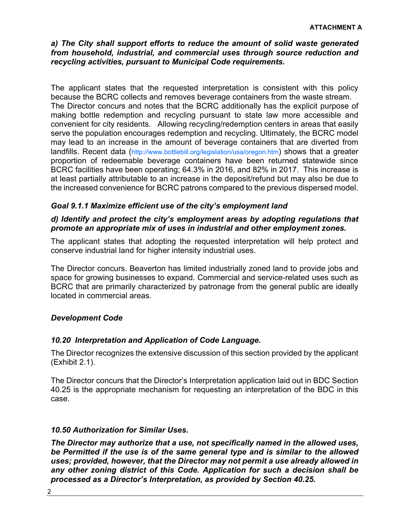## *a) The City shall support efforts to reduce the amount of solid waste generated from household, industrial, and commercial uses through source reduction and recycling activities, pursuant to Municipal Code requirements.*

The applicant states that the requested interpretation is consistent with this policy because the BCRC collects and removes beverage containers from the waste stream. The Director concurs and notes that the BCRC additionally has the explicit purpose of making bottle redemption and recycling pursuant to state law more accessible and convenient for city residents. Allowing recycling/redemption centers in areas that easily serve the population encourages redemption and recycling. Ultimately, the BCRC model may lead to an increase in the amount of beverage containers that are diverted from landfills. Recent data (http://www.bottlebill.org/legislation/usa/oregon.htm) shows that a greater proportion of redeemable beverage containers have been returned statewide since BCRC facilities have been operating; 64.3% in 2016, and 82% in 2017. This increase is at least partially attributable to an increase in the deposit/refund but may also be due to the increased convenience for BCRC patrons compared to the previous dispersed model.

## *Goal 9.1.1 Maximize efficient use of the city's employment land*

## *d) Identify and protect the city's employment areas by adopting regulations that promote an appropriate mix of uses in industrial and other employment zones.*

The applicant states that adopting the requested interpretation will help protect and conserve industrial land for higher intensity industrial uses.

The Director concurs. Beaverton has limited industrially zoned land to provide jobs and space for growing businesses to expand. Commercial and service-related uses such as BCRC that are primarily characterized by patronage from the general public are ideally located in commercial areas.

## *Development Code*

## *10.20 Interpretation and Application of Code Language.*

The Director recognizes the extensive discussion of this section provided by the applicant (Exhibit 2.1).

The Director concurs that the Director's Interpretation application laid out in BDC Section 40.25 is the appropriate mechanism for requesting an interpretation of the BDC in this case.

## *10.50 Authorization for Similar Uses.*

*The Director may authorize that a use, not specifically named in the allowed uses, be Permitted if the use is of the same general type and is similar to the allowed uses; provided, however, that the Director may not permit a use already allowed in any other zoning district of this Code. Application for such a decision shall be processed as a Director's Interpretation, as provided by Section 40.25.*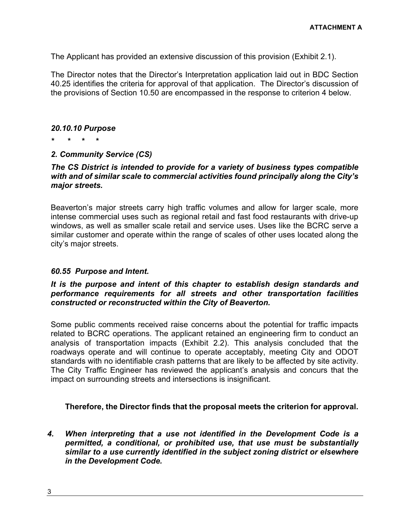The Applicant has provided an extensive discussion of this provision (Exhibit 2.1).

The Director notes that the Director's Interpretation application laid out in BDC Section 40.25 identifies the criteria for approval of that application. The Director's discussion of the provisions of Section 10.50 are encompassed in the response to criterion 4 below.

#### *20.10.10 Purpose*

*\* \* \* \** 

## *2. Community Service (CS)*

### *The CS District is intended to provide for a variety of business types compatible with and of similar scale to commercial activities found principally along the City's major streets.*

Beaverton's major streets carry high traffic volumes and allow for larger scale, more intense commercial uses such as regional retail and fast food restaurants with drive-up windows, as well as smaller scale retail and service uses. Uses like the BCRC serve a similar customer and operate within the range of scales of other uses located along the city's major streets.

## *60.55 Purpose and Intent.*

## *It is the purpose and intent of this chapter to establish design standards and performance requirements for all streets and other transportation facilities constructed or reconstructed within the City of Beaverton.*

Some public comments received raise concerns about the potential for traffic impacts related to BCRC operations. The applicant retained an engineering firm to conduct an analysis of transportation impacts (Exhibit 2.2). This analysis concluded that the roadways operate and will continue to operate acceptably, meeting City and ODOT standards with no identifiable crash patterns that are likely to be affected by site activity. The City Traffic Engineer has reviewed the applicant's analysis and concurs that the impact on surrounding streets and intersections is insignificant.

## **Therefore, the Director finds that the proposal meets the criterion for approval.**

*4. When interpreting that a use not identified in the Development Code is a permitted, a conditional, or prohibited use, that use must be substantially similar to a use currently identified in the subject zoning district or elsewhere in the Development Code.*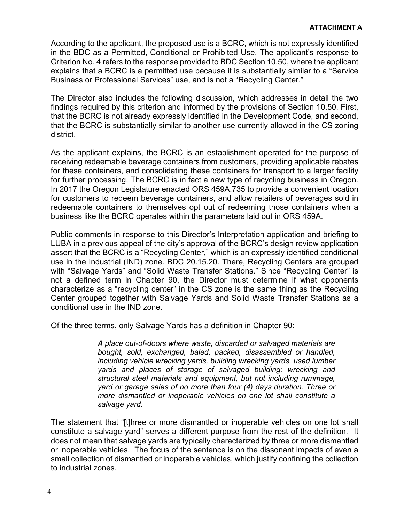According to the applicant, the proposed use is a BCRC, which is not expressly identified in the BDC as a Permitted, Conditional or Prohibited Use. The applicant's response to Criterion No. 4 refers to the response provided to BDC Section 10.50, where the applicant explains that a BCRC is a permitted use because it is substantially similar to a "Service Business or Professional Services" use, and is not a "Recycling Center."

The Director also includes the following discussion, which addresses in detail the two findings required by this criterion and informed by the provisions of Section 10.50. First, that the BCRC is not already expressly identified in the Development Code, and second, that the BCRC is substantially similar to another use currently allowed in the CS zoning district.

As the applicant explains, the BCRC is an establishment operated for the purpose of receiving redeemable beverage containers from customers, providing applicable rebates for these containers, and consolidating these containers for transport to a larger facility for further processing. The BCRC is in fact a new type of recycling business in Oregon. In 2017 the Oregon Legislature enacted ORS 459A.735 to provide a convenient location for customers to redeem beverage containers, and allow retailers of beverages sold in redeemable containers to themselves opt out of redeeming those containers when a business like the BCRC operates within the parameters laid out in ORS 459A.

Public comments in response to this Director's Interpretation application and briefing to LUBA in a previous appeal of the city's approval of the BCRC's design review application assert that the BCRC is a "Recycling Center," which is an expressly identified conditional use in the Industrial (IND) zone. BDC 20.15.20. There, Recycling Centers are grouped with "Salvage Yards" and "Solid Waste Transfer Stations." Since "Recycling Center" is not a defined term in Chapter 90, the Director must determine if what opponents characterize as a "recycling center" in the CS zone is the same thing as the Recycling Center grouped together with Salvage Yards and Solid Waste Transfer Stations as a conditional use in the IND zone.

Of the three terms, only Salvage Yards has a definition in Chapter 90:

*A place out-of-doors where waste, discarded or salvaged materials are bought, sold, exchanged, baled, packed, disassembled or handled, including vehicle wrecking yards, building wrecking yards, used lumber yards and places of storage of salvaged building; wrecking and structural steel materials and equipment, but not including rummage, yard or garage sales of no more than four (4) days duration. Three or more dismantled or inoperable vehicles on one lot shall constitute a salvage yard.* 

The statement that "[t]hree or more dismantled or inoperable vehicles on one lot shall constitute a salvage yard" serves a different purpose from the rest of the definition. It does not mean that salvage yards are typically characterized by three or more dismantled or inoperable vehicles. The focus of the sentence is on the dissonant impacts of even a small collection of dismantled or inoperable vehicles, which justify confining the collection to industrial zones.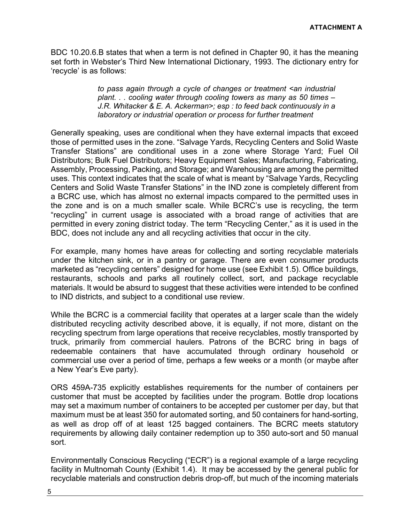BDC 10.20.6.B states that when a term is not defined in Chapter 90, it has the meaning set forth in Webster's Third New International Dictionary, 1993. The dictionary entry for 'recycle' is as follows:

> *to pass again through a cycle of changes or treatment <an industrial plant. . . cooling water through cooling towers as many as 50 times – J.R. Whitacker & E. A. Ackerman>; esp : to feed back continuously in a laboratory or industrial operation or process for further treatment*

Generally speaking, uses are conditional when they have external impacts that exceed those of permitted uses in the zone. "Salvage Yards, Recycling Centers and Solid Waste Transfer Stations" are conditional uses in a zone where Storage Yard; Fuel Oil Distributors; Bulk Fuel Distributors; Heavy Equipment Sales; Manufacturing, Fabricating, Assembly, Processing, Packing, and Storage; and Warehousing are among the permitted uses. This context indicates that the scale of what is meant by "Salvage Yards, Recycling Centers and Solid Waste Transfer Stations" in the IND zone is completely different from a BCRC use, which has almost no external impacts compared to the permitted uses in the zone and is on a much smaller scale. While BCRC's use is recycling, the term "recycling" in current usage is associated with a broad range of activities that are permitted in every zoning district today. The term "Recycling Center," as it is used in the BDC, does not include any and all recycling activities that occur in the city.

For example, many homes have areas for collecting and sorting recyclable materials under the kitchen sink, or in a pantry or garage. There are even consumer products marketed as "recycling centers" designed for home use (see Exhibit 1.5). Office buildings, restaurants, schools and parks all routinely collect, sort, and package recyclable materials. It would be absurd to suggest that these activities were intended to be confined to IND districts, and subject to a conditional use review.

While the BCRC is a commercial facility that operates at a larger scale than the widely distributed recycling activity described above, it is equally, if not more, distant on the recycling spectrum from large operations that receive recyclables, mostly transported by truck, primarily from commercial haulers. Patrons of the BCRC bring in bags of redeemable containers that have accumulated through ordinary household or commercial use over a period of time, perhaps a few weeks or a month (or maybe after a New Year's Eve party).

ORS 459A-735 explicitly establishes requirements for the number of containers per customer that must be accepted by facilities under the program. Bottle drop locations may set a maximum number of containers to be accepted per customer per day, but that maximum must be at least 350 for automated sorting, and 50 containers for hand-sorting, as well as drop off of at least 125 bagged containers. The BCRC meets statutory requirements by allowing daily container redemption up to 350 auto-sort and 50 manual sort.

Environmentally Conscious Recycling ("ECR") is a regional example of a large recycling facility in Multnomah County (Exhibit 1.4). It may be accessed by the general public for recyclable materials and construction debris drop-off, but much of the incoming materials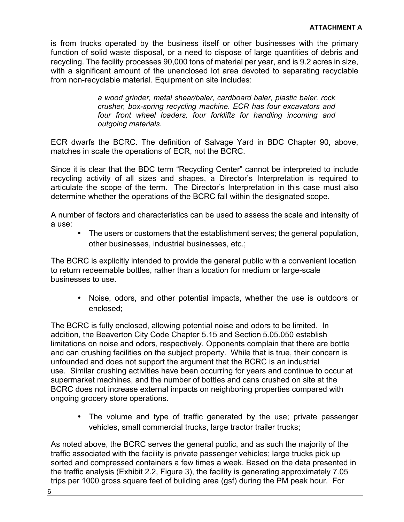is from trucks operated by the business itself or other businesses with the primary function of solid waste disposal, or a need to dispose of large quantities of debris and recycling. The facility processes 90,000 tons of material per year, and is 9.2 acres in size, with a significant amount of the unenclosed lot area devoted to separating recyclable from non-recyclable material. Equipment on site includes:

> *a wood grinder, metal shear/baler, cardboard baler, plastic baler, rock crusher, box-spring recycling machine. ECR has four excavators and four front wheel loaders, four forklifts for handling incoming and outgoing materials.*

ECR dwarfs the BCRC. The definition of Salvage Yard in BDC Chapter 90, above, matches in scale the operations of ECR, not the BCRC.

Since it is clear that the BDC term "Recycling Center" cannot be interpreted to include recycling activity of all sizes and shapes, a Director's Interpretation is required to articulate the scope of the term. The Director's Interpretation in this case must also determine whether the operations of the BCRC fall within the designated scope.

A number of factors and characteristics can be used to assess the scale and intensity of a use:

• The users or customers that the establishment serves; the general population, other businesses, industrial businesses, etc.;

The BCRC is explicitly intended to provide the general public with a convenient location to return redeemable bottles, rather than a location for medium or large-scale businesses to use.

• Noise, odors, and other potential impacts, whether the use is outdoors or enclosed;

The BCRC is fully enclosed, allowing potential noise and odors to be limited. In addition, the Beaverton City Code Chapter 5.15 and Section 5.05.050 establish limitations on noise and odors, respectively. Opponents complain that there are bottle and can crushing facilities on the subject property. While that is true, their concern is unfounded and does not support the argument that the BCRC is an industrial use. Similar crushing activities have been occurring for years and continue to occur at supermarket machines, and the number of bottles and cans crushed on site at the BCRC does not increase external impacts on neighboring properties compared with ongoing grocery store operations.

• The volume and type of traffic generated by the use; private passenger vehicles, small commercial trucks, large tractor trailer trucks;

As noted above, the BCRC serves the general public, and as such the majority of the traffic associated with the facility is private passenger vehicles; large trucks pick up sorted and compressed containers a few times a week. Based on the data presented in the traffic analysis (Exhibit 2.2, Figure 3), the facility is generating approximately 7.05 trips per 1000 gross square feet of building area (gsf) during the PM peak hour. For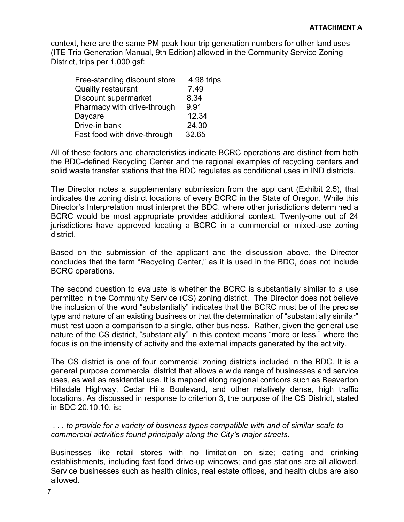context, here are the same PM peak hour trip generation numbers for other land uses (ITE Trip Generation Manual, 9th Edition) allowed in the Community Service Zoning District, trips per 1,000 gsf:

| 4.98 trips |
|------------|
| 7.49       |
| 8.34       |
| 9.91       |
| 12.34      |
| 24.30      |
| 32.65      |
|            |

All of these factors and characteristics indicate BCRC operations are distinct from both the BDC-defined Recycling Center and the regional examples of recycling centers and solid waste transfer stations that the BDC regulates as conditional uses in IND districts.

The Director notes a supplementary submission from the applicant (Exhibit 2.5), that indicates the zoning district locations of every BCRC in the State of Oregon. While this Director's Interpretation must interpret the BDC, where other jurisdictions determined a BCRC would be most appropriate provides additional context. Twenty-one out of 24 jurisdictions have approved locating a BCRC in a commercial or mixed-use zoning district.

Based on the submission of the applicant and the discussion above, the Director concludes that the term "Recycling Center," as it is used in the BDC, does not include BCRC operations.

The second question to evaluate is whether the BCRC is substantially similar to a use permitted in the Community Service (CS) zoning district. The Director does not believe the inclusion of the word "substantially" indicates that the BCRC must be of the precise type and nature of an existing business or that the determination of "substantially similar" must rest upon a comparison to a single, other business. Rather, given the general use nature of the CS district, "substantially" in this context means "more or less," where the focus is on the intensity of activity and the external impacts generated by the activity.

The CS district is one of four commercial zoning districts included in the BDC. It is a general purpose commercial district that allows a wide range of businesses and service uses, as well as residential use. It is mapped along regional corridors such as Beaverton Hillsdale Highway, Cedar Hills Boulevard, and other relatively dense, high traffic locations. As discussed in response to criterion 3, the purpose of the CS District, stated in BDC 20.10.10, is:

 *. . . to provide for a variety of business types compatible with and of similar scale to commercial activities found principally along the City's major streets.* 

Businesses like retail stores with no limitation on size; eating and drinking establishments, including fast food drive-up windows; and gas stations are all allowed. Service businesses such as health clinics, real estate offices, and health clubs are also allowed.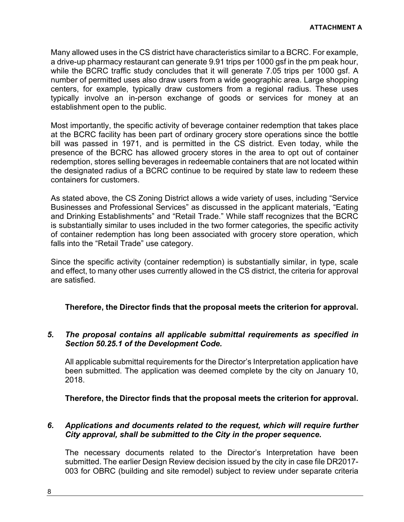Many allowed uses in the CS district have characteristics similar to a BCRC. For example, a drive-up pharmacy restaurant can generate 9.91 trips per 1000 gsf in the pm peak hour, while the BCRC traffic study concludes that it will generate 7.05 trips per 1000 gsf. A number of permitted uses also draw users from a wide geographic area. Large shopping centers, for example, typically draw customers from a regional radius. These uses typically involve an in-person exchange of goods or services for money at an establishment open to the public.

Most importantly, the specific activity of beverage container redemption that takes place at the BCRC facility has been part of ordinary grocery store operations since the bottle bill was passed in 1971, and is permitted in the CS district. Even today, while the presence of the BCRC has allowed grocery stores in the area to opt out of container redemption, stores selling beverages in redeemable containers that are not located within the designated radius of a BCRC continue to be required by state law to redeem these containers for customers.

As stated above, the CS Zoning District allows a wide variety of uses, including "Service Businesses and Professional Services" as discussed in the applicant materials, "Eating and Drinking Establishments" and "Retail Trade." While staff recognizes that the BCRC is substantially similar to uses included in the two former categories, the specific activity of container redemption has long been associated with grocery store operation, which falls into the "Retail Trade" use category.

Since the specific activity (container redemption) is substantially similar, in type, scale and effect, to many other uses currently allowed in the CS district, the criteria for approval are satisfied.

## **Therefore, the Director finds that the proposal meets the criterion for approval.**

## *5. The proposal contains all applicable submittal requirements as specified in Section 50.25.1 of the Development Code.*

All applicable submittal requirements for the Director's Interpretation application have been submitted. The application was deemed complete by the city on January 10, 2018.

**Therefore, the Director finds that the proposal meets the criterion for approval.**

## *6. Applications and documents related to the request, which will require further City approval, shall be submitted to the City in the proper sequence***.**

The necessary documents related to the Director's Interpretation have been submitted. The earlier Design Review decision issued by the city in case file DR2017- 003 for OBRC (building and site remodel) subject to review under separate criteria